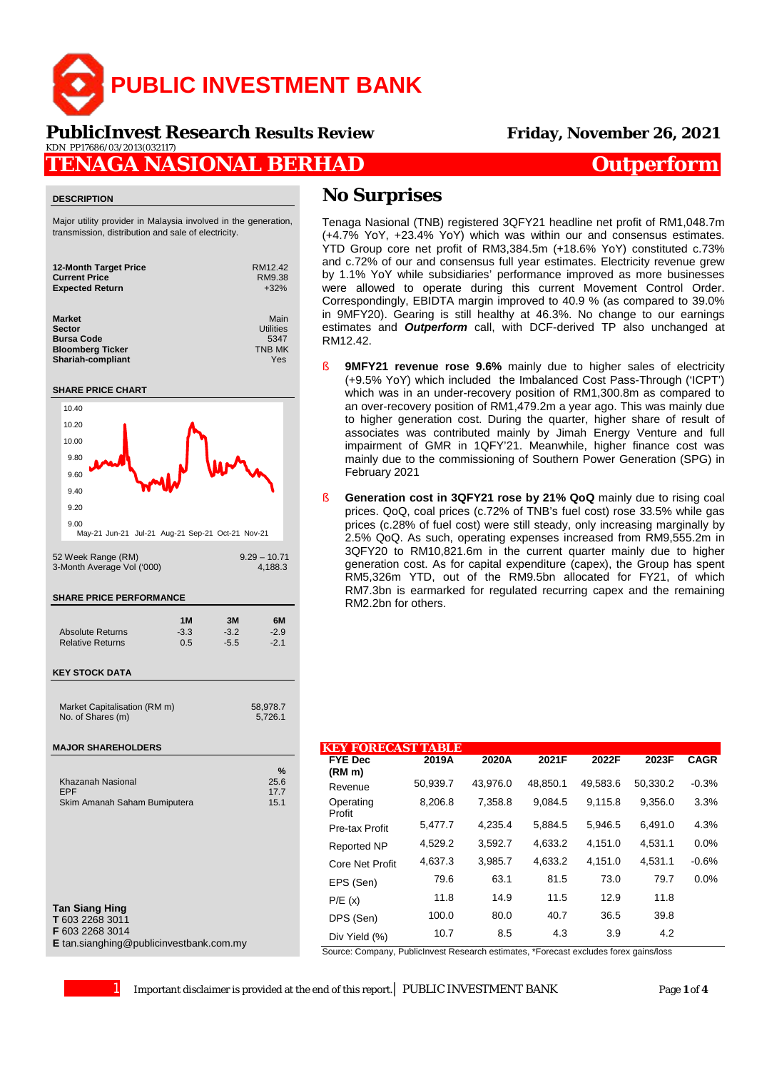

### **PublicInvest Research** *Results Review* **Friday, November 26, 2021** KDN PP17686/03/2013(032117)

## **TENAGA NASIONAL BERHAD** *Outperform*

#### **DESCRIPTION**

Major utility provider in Malaysia involved in the generation, transmission, distribution and sale of electricity.

| <b>12-Month Target Price</b> | RM12.42       |
|------------------------------|---------------|
| <b>Current Price</b>         | RM9.38        |
| <b>Expected Return</b>       | $+32%$        |
| <b>Market</b>                | Main          |
| <b>Sector</b>                | Utilities     |
| <b>Bursa Code</b>            | 5347          |
| <b>Bloomberg Ticker</b>      | <b>TNB MK</b> |
| <b>Shariah-compliant</b>     | Yes           |

#### **SHARE PRICE CHART**



**T** 603 2268 3011

**F** 603 2268 3014

**E** tan.sianghing@publicinvestbank.com.my

## **No Surprises**

Tenaga Nasional (TNB) registered 3QFY21 headline net profit of RM1,048.7m (+4.7% YoY, +23.4% YoY) which was within our and consensus estimates. YTD Group core net profit of RM3,384.5m (+18.6% YoY) constituted c.73% and c.72% of our and consensus full year estimates. Electricity revenue grew by 1.1% YoY while subsidiaries' performance improved as more businesses were allowed to operate during this current Movement Control Order. Correspondingly, EBIDTA margin improved to 40.9 % (as compared to 39.0% in 9MFY20). Gearing is still healthy at 46.3%. No change to our earnings estimates and *Outperform* call, with DCF-derived TP also unchanged at RM12.42.

- **9MFY21 revenue rose 9.6%** mainly due to higher sales of electricity (+9.5% YoY) which included the Imbalanced Cost Pass-Through ('ICPT') which was in an under-recovery position of RM1,300.8m as compared to an over-recovery position of RM1,479.2m a year ago. This was mainly due to higher generation cost. During the quarter, higher share of result of associates was contributed mainly by Jimah Energy Venture and full impairment of GMR in 1QFY'21. Meanwhile, higher finance cost was mainly due to the commissioning of Southern Power Generation (SPG) in February 2021
- § **Generation cost in 3QFY21 rose by 21% QoQ** mainly due to rising coal prices. QoQ, coal prices (c.72% of TNB's fuel cost) rose 33.5% while gas prices (c.28% of fuel cost) were still steady, only increasing marginally by 2.5% QoQ. As such, operating expenses increased from RM9,555.2m in 3QFY20 to RM10,821.6m in the current quarter mainly due to higher generation cost. As for capital expenditure (capex), the Group has spent RM5,326m YTD, out of the RM9.5bn allocated for FY21, of which RM7.3bn is earmarked for regulated recurring capex and the remaining RM2.2bn for others.

| <b>EY FORECAST TABLE</b> |          |          |          |          |          |             |
|--------------------------|----------|----------|----------|----------|----------|-------------|
| <b>FYE Dec</b><br>(RM m) | 2019A    | 2020A    | 2021F    | 2022F    | 2023F    | <b>CAGR</b> |
| Revenue                  | 50,939.7 | 43.976.0 | 48.850.1 | 49,583.6 | 50,330.2 | $-0.3%$     |
| Operating<br>Profit      | 8,206.8  | 7.358.8  | 9.084.5  | 9.115.8  | 9.356.0  | 3.3%        |
| Pre-tax Profit           | 5,477.7  | 4.235.4  | 5,884.5  | 5,946.5  | 6,491.0  | 4.3%        |
| <b>Reported NP</b>       | 4,529.2  | 3,592.7  | 4,633.2  | 4,151.0  | 4,531.1  | 0.0%        |
| <b>Core Net Profit</b>   | 4,637.3  | 3,985.7  | 4.633.2  | 4.151.0  | 4,531.1  | $-0.6%$     |
| EPS (Sen)                | 79.6     | 63.1     | 81.5     | 73.0     | 79.7     | 0.0%        |
| P/E(x)                   | 11.8     | 14.9     | 11.5     | 12.9     | 11.8     |             |
| DPS (Sen)                | 100.0    | 80.0     | 40.7     | 36.5     | 39.8     |             |
| Div Yield (%)            | 10.7     | 8.5      | 4.3      | 3.9      | 4.2      |             |

Source: Company, PublicInvest Research estimates, \*Forecast excludes forex gains/loss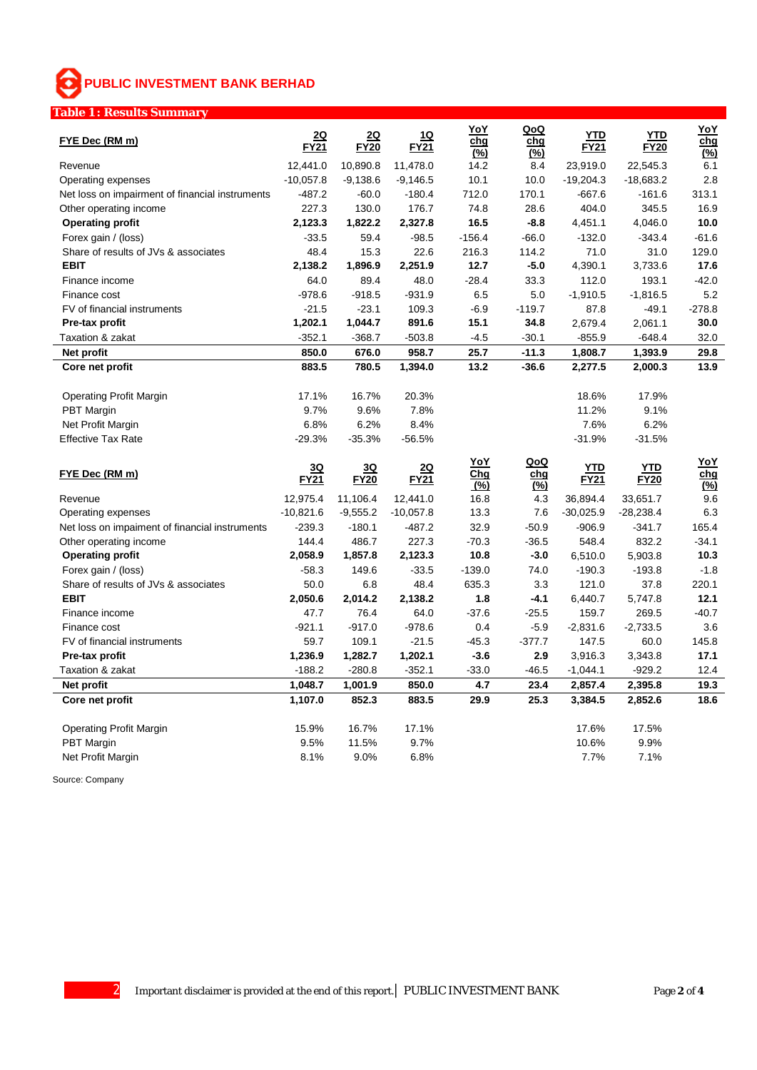# **PUBLIC INVESTMENT BANK BERHAD**

## **Table 1 : Results Summary**

| FYE Dec (RM m)                                                       | <u> 2Q</u><br><b>FY21</b> | <u>2Q</u><br><b>FY20</b> | <u>1Q</u><br><b>FY21</b> | YoY<br>cha<br>$(\%)$ | QoQ<br>chq<br>$(\%)$ | YTD<br><b>FY21</b>      | YTD<br><b>FY20</b>      | <u>YoY</u><br>chg<br>(%)         |
|----------------------------------------------------------------------|---------------------------|--------------------------|--------------------------|----------------------|----------------------|-------------------------|-------------------------|----------------------------------|
| Revenue                                                              | 12,441.0                  | 10,890.8                 | 11,478.0                 | 14.2                 | 8.4                  | 23,919.0                | 22,545.3                | 6.1                              |
| Operating expenses                                                   | $-10,057.8$               | $-9,138.6$               | $-9,146.5$               | 10.1                 | 10.0                 | $-19,204.3$             | $-18,683.2$             | 2.8                              |
| Net loss on impairment of financial instruments                      | $-487.2$                  | $-60.0$                  | $-180.4$                 | 712.0                | 170.1                | $-667.6$                | $-161.6$                | 313.1                            |
| Other operating income                                               | 227.3                     | 130.0                    | 176.7                    | 74.8                 | 28.6                 | 404.0                   | 345.5                   | 16.9                             |
| <b>Operating profit</b>                                              | 2,123.3                   | 1,822.2                  | 2,327.8                  | 16.5                 | $-8.8$               | 4,451.1                 | 4,046.0                 | 10.0                             |
| Forex gain / (loss)                                                  | $-33.5$                   | 59.4                     | $-98.5$                  | $-156.4$             | $-66.0$              | $-132.0$                | $-343.4$                | $-61.6$                          |
| Share of results of JVs & associates                                 | 48.4                      | 15.3                     | 22.6                     | 216.3                | 114.2                | 71.0                    | 31.0                    | 129.0                            |
| <b>EBIT</b>                                                          | 2,138.2                   | 1,896.9                  | 2,251.9                  | 12.7                 | $-5.0$               | 4,390.1                 | 3,733.6                 | 17.6                             |
| Finance income                                                       | 64.0                      | 89.4                     | 48.0                     | $-28.4$              | 33.3                 | 112.0                   | 193.1                   | $-42.0$                          |
| Finance cost                                                         | $-978.6$                  | $-918.5$                 | $-931.9$                 | 6.5                  | 5.0                  | $-1,910.5$              | $-1,816.5$              | 5.2                              |
| FV of financial instruments                                          | $-21.5$                   | $-23.1$                  | 109.3                    | $-6.9$               | $-119.7$             | 87.8                    | $-49.1$                 | $-278.8$                         |
| Pre-tax profit                                                       | 1,202.1                   | 1,044.7                  | 891.6                    | 15.1                 | 34.8                 | 2,679.4                 | 2,061.1                 | 30.0                             |
| Taxation & zakat                                                     | $-352.1$                  | $-368.7$                 | $-503.8$                 | $-4.5$               | $-30.1$              | $-855.9$                | $-648.4$                | 32.0                             |
| Net profit                                                           | 850.0                     | 676.0                    | 958.7                    | 25.7                 | $-11.3$              | 1,808.7                 | 1,393.9                 | 29.8                             |
| Core net profit                                                      | 883.5                     | 780.5                    | 1,394.0                  | 13.2                 | $-36.6$              | 2,277.5                 | 2,000.3                 | 13.9                             |
|                                                                      |                           |                          |                          |                      |                      |                         |                         |                                  |
| <b>Operating Profit Margin</b>                                       | 17.1%                     | 16.7%                    | 20.3%                    |                      |                      | 18.6%                   | 17.9%                   |                                  |
| <b>PBT</b> Margin                                                    | 9.7%                      | 9.6%                     | 7.8%                     |                      |                      | 11.2%                   | 9.1%                    |                                  |
| Net Profit Margin                                                    | 6.8%                      | 6.2%                     | 8.4%                     |                      |                      | 7.6%                    | 6.2%                    |                                  |
| <b>Effective Tax Rate</b>                                            | $-29.3%$                  | $-35.3%$                 | $-56.5%$                 |                      |                      | $-31.9%$                | $-31.5%$                |                                  |
|                                                                      |                           |                          |                          |                      |                      |                         |                         |                                  |
| FYE Dec (RM m)                                                       | 3Q<br><b>FY21</b>         | 3Q<br><b>FY20</b>        | <u>2Q</u><br>FY21        | YoY<br>Chg           | QoQ<br>chg           | <b>YTD</b><br>FY21      | YTD<br><b>FY20</b>      | <u>YoY</u><br>chg                |
| Revenue                                                              |                           |                          |                          | (%)                  | $(\%)$               |                         |                         | $\overline{\binom{0}{0}}$<br>9.6 |
|                                                                      | 12,975.4                  | 11,106.4                 | 12,441.0                 | 16.8<br>13.3         | 4.3<br>7.6           | 36,894.4                | 33,651.7                | 6.3                              |
| Operating expenses<br>Net loss on impaiment of financial instruments | $-10,821.6$<br>$-239.3$   | $-9,555.2$<br>$-180.1$   | $-10,057.8$<br>$-487.2$  | 32.9                 |                      | $-30,025.9$<br>$-906.9$ | $-28,238.4$<br>$-341.7$ | 165.4                            |
| Other operating income                                               | 144.4                     | 486.7                    | 227.3                    | $-70.3$              | $-50.9$<br>$-36.5$   | 548.4                   | 832.2                   | $-34.1$                          |
| <b>Operating profit</b>                                              | 2,058.9                   | 1,857.8                  | 2,123.3                  | 10.8                 | $-3.0$               | 6,510.0                 | 5,903.8                 | 10.3                             |
|                                                                      | $-58.3$                   | 149.6                    | $-33.5$                  | $-139.0$             | 74.0                 | $-190.3$                | $-193.8$                | $-1.8$                           |
| Forex gain / (loss)<br>Share of results of JVs & associates          | 50.0                      | 6.8                      | 48.4                     | 635.3                | 3.3                  | 121.0                   | 37.8                    | 220.1                            |
| <b>EBIT</b>                                                          |                           | 2,014.2                  | 2,138.2                  | 1.8                  | -4.1                 | 6,440.7                 | 5,747.8                 | 12.1                             |
| Finance income                                                       | 2,050.6<br>47.7           | 76.4                     | 64.0                     | $-37.6$              | $-25.5$              | 159.7                   | 269.5                   | $-40.7$                          |
| Finance cost                                                         | $-921.1$                  | $-917.0$                 | $-978.6$                 | 0.4                  | $-5.9$               | $-2,831.6$              | $-2,733.5$              | 3.6                              |
| FV of financial instruments                                          | 59.7                      | 109.1                    | $-21.5$                  | $-45.3$              | $-377.7$             | 147.5                   | 60.0                    | 145.8                            |
| Pre-tax profit                                                       | 1,236.9                   | 1,282.7                  | 1,202.1                  | $-3.6$               | 2.9                  | 3,916.3                 | 3,343.8                 | 17.1                             |
| Taxation & zakat                                                     | $-188.2$                  | $-280.8$                 | $-352.1$                 | $-33.0$              | $-46.5$              | $-1,044.1$              | $-929.2$                | 12.4                             |
| Net profit                                                           | 1,048.7                   | 1,001.9                  | 850.0                    | 4.7                  | 23.4                 | 2,857.4                 | 2,395.8                 | 19.3                             |
| Core net profit                                                      | 1.107.0                   | 852.3                    | 883.5                    | 29.9                 | 25.3                 | 3,384.5                 | 2,852.6                 | 18.6                             |
|                                                                      |                           |                          |                          |                      |                      |                         |                         |                                  |
| <b>Operating Profit Margin</b>                                       | 15.9%                     | 16.7%                    | 17.1%                    |                      |                      | 17.6%                   | 17.5%                   |                                  |
| <b>PBT</b> Margin                                                    | 9.5%                      | 11.5%                    | 9.7%                     |                      |                      | 10.6%                   | 9.9%                    |                                  |

Source: Company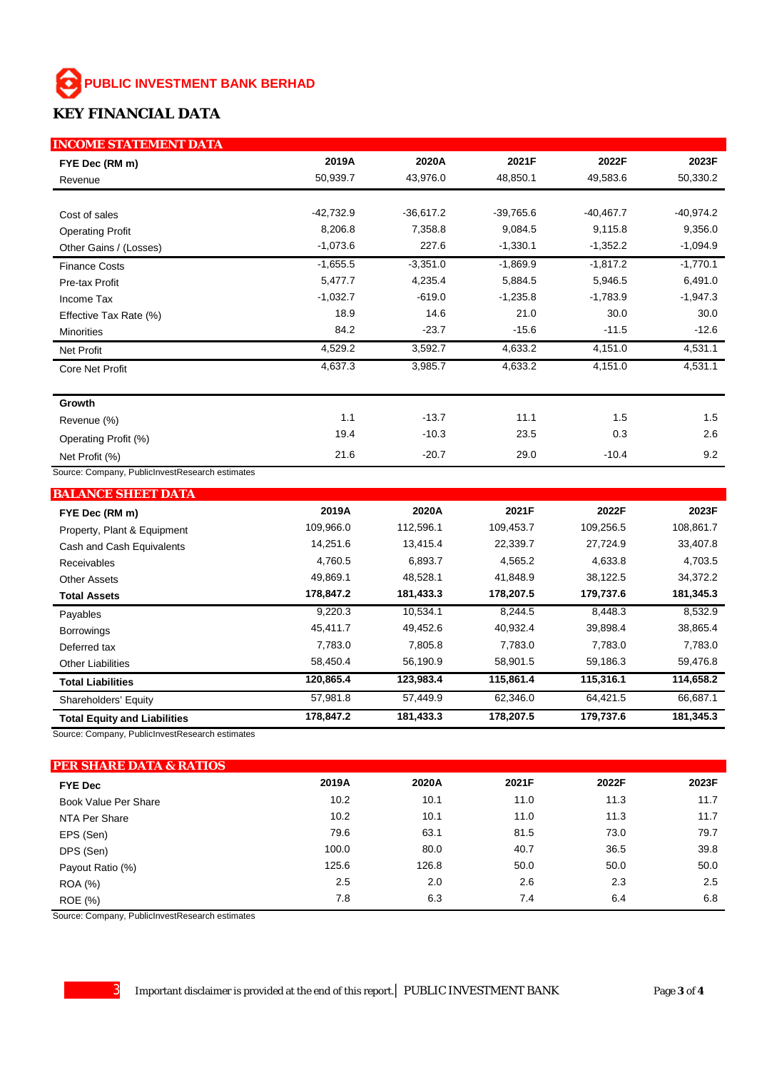#### **PUBLIC INVESTMENT BANK BERHAD** ⊛

## **KEY FINANCIAL DATA**

| <b>INCOME STATEMENT DATA</b>                    |             |             |             |             |             |
|-------------------------------------------------|-------------|-------------|-------------|-------------|-------------|
| FYE Dec (RM m)                                  | 2019A       | 2020A       | 2021F       | 2022F       | 2023F       |
| Revenue                                         | 50,939.7    | 43,976.0    | 48,850.1    | 49,583.6    | 50,330.2    |
|                                                 |             |             |             |             |             |
| Cost of sales                                   | $-42,732.9$ | $-36,617.2$ | $-39,765.6$ | $-40,467.7$ | $-40,974.2$ |
| <b>Operating Profit</b>                         | 8,206.8     | 7,358.8     | 9,084.5     | 9,115.8     | 9,356.0     |
| Other Gains / (Losses)                          | $-1,073.6$  | 227.6       | $-1,330.1$  | $-1,352.2$  | $-1,094.9$  |
| <b>Finance Costs</b>                            | $-1,655.5$  | $-3,351.0$  | $-1,869.9$  | $-1,817.2$  | $-1,770.1$  |
| Pre-tax Profit                                  | 5,477.7     | 4,235.4     | 5,884.5     | 5,946.5     | 6,491.0     |
| Income Tax                                      | $-1,032.7$  | $-619.0$    | $-1,235.8$  | $-1,783.9$  | $-1,947.3$  |
| Effective Tax Rate (%)                          | 18.9        | 14.6        | 21.0        | 30.0        | 30.0        |
| <b>Minorities</b>                               | 84.2        | $-23.7$     | $-15.6$     | $-11.5$     | $-12.6$     |
| <b>Net Profit</b>                               | 4,529.2     | 3,592.7     | 4,633.2     | 4,151.0     | 4,531.1     |
| Core Net Profit                                 | 4,637.3     | 3,985.7     | 4,633.2     | 4,151.0     | 4,531.1     |
|                                                 |             |             |             |             |             |
| Growth                                          |             |             |             |             |             |
| Revenue (%)                                     | 1.1         | $-13.7$     | 11.1        | 1.5         | 1.5         |
| Operating Profit (%)                            | 19.4        | $-10.3$     | 23.5        | 0.3         | 2.6         |
| Net Profit (%)                                  | 21.6        | $-20.7$     | 29.0        | $-10.4$     | 9.2         |
| Source: Company, PublicInvestResearch estimates |             |             |             |             |             |
| <b>BALANCE SHEET DATA</b>                       |             |             |             |             |             |
| FYE Dec (RM m)                                  | 2019A       | 2020A       | 2021F       | 2022F       | 2023F       |
| Property, Plant & Equipment                     | 109,966.0   | 112,596.1   | 109,453.7   | 109,256.5   | 108,861.7   |
| Cash and Cash Equivalents                       | 14,251.6    | 13,415.4    | 22,339.7    | 27,724.9    | 33,407.8    |
| Receivables                                     | 4,760.5     | 6,893.7     | 4,565.2     | 4,633.8     | 4,703.5     |
| <b>Other Assets</b>                             | 49,869.1    | 48,528.1    | 41,848.9    | 38,122.5    | 34,372.2    |
| <b>Total Assets</b>                             | 178,847.2   | 181,433.3   | 178,207.5   | 179,737.6   | 181,345.3   |
| Payables                                        | 9,220.3     | 10,534.1    | 8,244.5     | 8,448.3     | 8,532.9     |
| <b>Borrowings</b>                               | 45,411.7    | 49,452.6    | 40,932.4    | 39,898.4    | 38,865.4    |
| Deferred tax                                    | 7,783.0     | 7,805.8     | 7,783.0     | 7,783.0     | 7,783.0     |
| <b>Other Liabilities</b>                        | 58,450.4    | 56,190.9    | 58,901.5    | 59,186.3    | 59,476.8    |
| <b>Total Liabilities</b>                        | 120,865.4   | 123,983.4   | 115,861.4   | 115,316.1   | 114,658.2   |
| Shareholders' Equity                            | 57,981.8    | 57,449.9    | 62,346.0    | 64,421.5    | 66,687.1    |
| <b>Total Equity and Liabilities</b>             | 178,847.2   | 181,433.3   | 178,207.5   | 179,737.6   | 181,345.3   |

Source: Company, PublicInvestResearch estimates

## **PER SHARE DATA & RATIOS FYE Dec 2019A 2020A 2021F 2022F 2023F** Book Value Per Share 11.7 10.2 10.2 10.1 11.0 11.3 11.7 NTA Per Share 11.7 10.2 10.2 10.1 11.0 11.3 11.7 EPS (Sen) 79.6 63.1 81.5 73.0 79.7 DPS (Sen) 100.0 80.0 40.7 36.5 39.8 Payout Ratio (%) 125.6 126.8 50.0 50.0 50.0 ROA (%) 2.5 2.0 2.6 2.3 2.5 ROE (%) 7.8 6.3 7.4 6.4 6.8

Source: Company, PublicInvestResearch estimates